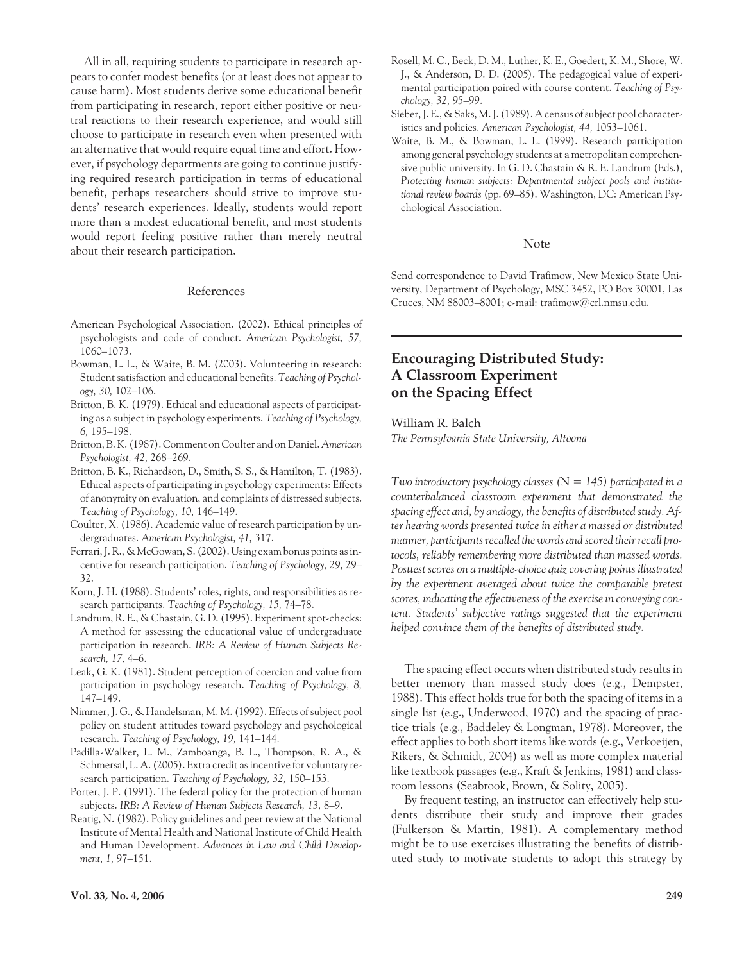All in all, requiring students to participate in research appears to confer modest benefits (or at least does not appear to cause harm). Most students derive some educational benefit from participating in research, report either positive or neutral reactions to their research experience, and would still choose to participate in research even when presented with an alternative that would require equal time and effort. However, if psychology departments are going to continue justifying required research participation in terms of educational benefit, perhaps researchers should strive to improve students' research experiences. Ideally, students would report more than a modest educational benefit, and most students would report feeling positive rather than merely neutral about their research participation.

#### References

- American Psychological Association. (2002). Ethical principles of psychologists and code of conduct. *American Psychologist, 57,* 1060–1073.
- Bowman, L. L., & Waite, B. M. (2003). Volunteering in research: Student satisfaction and educational benefits. *Teaching of Psychology, 30,* 102–106.
- Britton, B. K. (1979). Ethical and educational aspects of participating as a subject in psychology experiments. *Teaching of Psychology, 6,* 195–198.
- Britton, B. K. (1987). Comment on Coulter and on Daniel. *American Psychologist, 42,* 268–269.
- Britton, B. K., Richardson, D., Smith, S. S., & Hamilton, T. (1983). Ethical aspects of participating in psychology experiments: Effects of anonymity on evaluation, and complaints of distressed subjects. *Teaching of Psychology, 10,* 146–149.
- Coulter, X. (1986). Academic value of research participation by undergraduates. *American Psychologist, 41,* 317.
- Ferrari, J. R., & McGowan, S. (2002). Using exam bonus points as incentive for research participation. *Teaching of Psychology, 29,* 29– 32.
- Korn, J. H. (1988). Students' roles, rights, and responsibilities as research participants. *Teaching of Psychology, 15,* 74–78.
- Landrum, R. E., & Chastain, G. D. (1995). Experiment spot-checks: A method for assessing the educational value of undergraduate participation in research. *IRB: A Review of Human Subjects Research, 17,* 4–6.
- Leak, G. K. (1981). Student perception of coercion and value from participation in psychology research. *Teaching of Psychology, 8,* 147–149.
- Nimmer, J. G., & Handelsman, M. M. (1992). Effects of subject pool policy on student attitudes toward psychology and psychological research. *Teaching of Psychology, 19,* 141–144.
- Padilla-Walker, L. M., Zamboanga, B. L., Thompson, R. A., & Schmersal, L. A. (2005). Extra credit as incentive for voluntary research participation. *Teaching of Psychology, 32,* 150–153.
- Porter, J. P. (1991). The federal policy for the protection of human subjects. *IRB: A Review of Human Subjects Research, 13,* 8–9.
- Reatig, N. (1982). Policy guidelines and peer review at the National Institute of Mental Health and National Institute of Child Health and Human Development. *Advances in Law and Child Development, 1,* 97–151.
- Rosell, M. C., Beck, D. M., Luther, K. E., Goedert, K. M., Shore, W. J., & Anderson, D. D. (2005). The pedagogical value of experimental participation paired with course content. *Teaching of Psychology, 32,* 95–99.
- Sieber, J. E., & Saks, M. J. (1989). A census of subject pool characteristics and policies. *American Psychologist, 44,* 1053–1061.
- Waite, B. M., & Bowman, L. L. (1999). Research participation among general psychology students at a metropolitan comprehensive public university. In G. D. Chastain & R. E. Landrum (Eds.), *Protecting human subjects: Departmental subject pools and institutional review boards* (pp. 69–85). Washington, DC: American Psychological Association.

### Note

Send correspondence to David Trafimow, New Mexico State University, Department of Psychology, MSC 3452, PO Box 30001, Las Cruces, NM 88003–8001; e-mail: trafimow@crl.nmsu.edu.

# **Encouraging Distributed Study: A Classroom Experiment on the Spacing Effect**

### William R. Balch *The Pennsylvania State University, Altoona*

*Two introductory psychology classes (*N *= 145) participated in a counterbalanced classroom experiment that demonstrated the spacing effect and, by analogy, the benefits of distributed study. After hearing words presented twice in either a massed or distributed manner, participants recalled the words and scored their recall protocols, reliably remembering more distributed than massed words. Posttest scores on a multiple-choice quiz covering points illustrated by the experiment averaged about twice the comparable pretest scores, indicating the effectiveness of the exercise in conveying content. Students' subjective ratings suggested that the experiment helped convince them of the benefits of distributed study.*

The spacing effect occurs when distributed study results in better memory than massed study does (e.g., Dempster, 1988). This effect holds true for both the spacing of items in a single list (e.g., Underwood, 1970) and the spacing of practice trials (e.g., Baddeley & Longman, 1978). Moreover, the effect applies to both short items like words (e.g., Verkoeijen, Rikers, & Schmidt, 2004) as well as more complex material like textbook passages (e.g., Kraft & Jenkins, 1981) and classroom lessons (Seabrook, Brown, & Solity, 2005).

By frequent testing, an instructor can effectively help students distribute their study and improve their grades (Fulkerson & Martin, 1981). A complementary method might be to use exercises illustrating the benefits of distributed study to motivate students to adopt this strategy by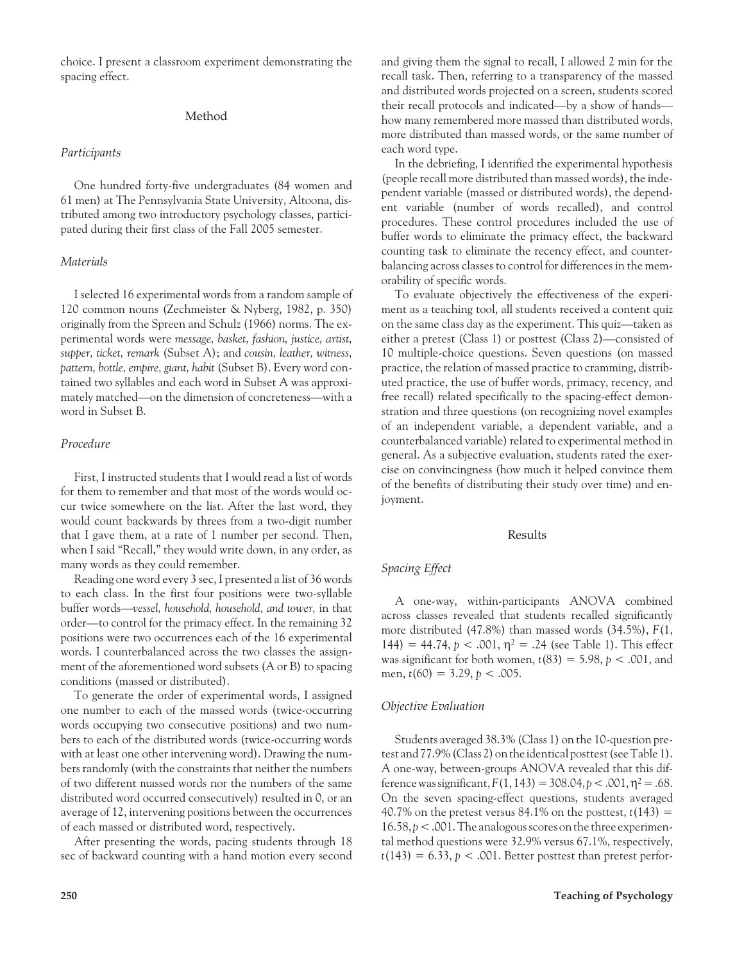choice. I present a classroom experiment demonstrating the spacing effect.

# Method

### *Participants*

One hundred forty-five undergraduates (84 women and 61 men) at The Pennsylvania State University, Altoona, distributed among two introductory psychology classes, participated during their first class of the Fall 2005 semester.

### *Materials*

I selected 16 experimental words from a random sample of 120 common nouns (Zechmeister & Nyberg, 1982, p. 350) originally from the Spreen and Schulz (1966) norms. The experimental words were *message, basket, fashion, justice, artist, supper, ticket, remark* (Subset A); and *cousin, leather, witness, pattern, bottle, empire, giant, habit* (Subset B). Every word contained two syllables and each word in Subset A was approximately matched—on the dimension of concreteness—with a word in Subset B.

## *Procedure*

First, I instructed students that I would read a list of words for them to remember and that most of the words would occur twice somewhere on the list. After the last word, they would count backwards by threes from a two-digit number that I gave them, at a rate of 1 number per second. Then, when I said "Recall," they would write down, in any order, as many words as they could remember.

Reading one word every 3 sec, I presented a list of 36 words to each class. In the first four positions were two-syllable buffer words—*vessel, household, household, and tower,* in that order—to control for the primacy effect. In the remaining 32 positions were two occurrences each of the 16 experimental words. I counterbalanced across the two classes the assignment of the aforementioned word subsets (A or B) to spacing conditions (massed or distributed).

To generate the order of experimental words, I assigned one number to each of the massed words (twice-occurring words occupying two consecutive positions) and two numbers to each of the distributed words (twice-occurring words with at least one other intervening word). Drawing the numbers randomly (with the constraints that neither the numbers of two different massed words nor the numbers of the same distributed word occurred consecutively) resulted in 0, or an average of 12, intervening positions between the occurrences of each massed or distributed word, respectively.

After presenting the words, pacing students through 18 sec of backward counting with a hand motion every second and giving them the signal to recall, I allowed 2 min for the recall task. Then, referring to a transparency of the massed and distributed words projected on a screen, students scored their recall protocols and indicated—by a show of hands how many remembered more massed than distributed words, more distributed than massed words, or the same number of each word type.

In the debriefing, I identified the experimental hypothesis (people recall more distributed than massed words), the independent variable (massed or distributed words), the dependent variable (number of words recalled), and control procedures. These control procedures included the use of buffer words to eliminate the primacy effect, the backward counting task to eliminate the recency effect, and counterbalancing across classes to control for differences in the memorability of specific words.

To evaluate objectively the effectiveness of the experiment as a teaching tool, all students received a content quiz on the same class day as the experiment. This quiz—taken as either a pretest (Class 1) or posttest (Class 2)—consisted of 10 multiple-choice questions. Seven questions (on massed practice, the relation of massed practice to cramming, distributed practice, the use of buffer words, primacy, recency, and free recall) related specifically to the spacing-effect demonstration and three questions (on recognizing novel examples of an independent variable, a dependent variable, and a counterbalanced variable) related to experimental method in general. As a subjective evaluation, students rated the exercise on convincingness (how much it helped convince them of the benefits of distributing their study over time) and enjoyment.

#### Results

# *Spacing Effect*

A one-way, within-participants ANOVA combined across classes revealed that students recalled significantly more distributed (47.8%) than massed words (34.5%), *F*(1, 144) = 44.74,  $p < .001$ ,  $\eta^2 = .24$  (see Table 1). This effect was significant for both women,  $t(83) = 5.98$ ,  $p < .001$ , and men,  $t(60) = 3.29$ ,  $p < .005$ .

### *Objective Evaluation*

Students averaged 38.3% (Class 1) on the 10-question pretest and 77.9% (Class 2) on the identical posttest (see Table 1). A one-way, between-groups ANOVA revealed that this difference was significant,  $F(1, 143) = 308.04$ ,  $p < .001$ ,  $p^2 = .68$ . On the seven spacing-effect questions, students averaged 40.7% on the pretest versus  $84.1\%$  on the posttest,  $t(143) =$  $16.58, p < .001$ . The analogous scores on the three experimental method questions were 32.9% versus 67.1%, respectively,  $t(143) = 6.33$ ,  $p < .001$ . Better posttest than pretest perfor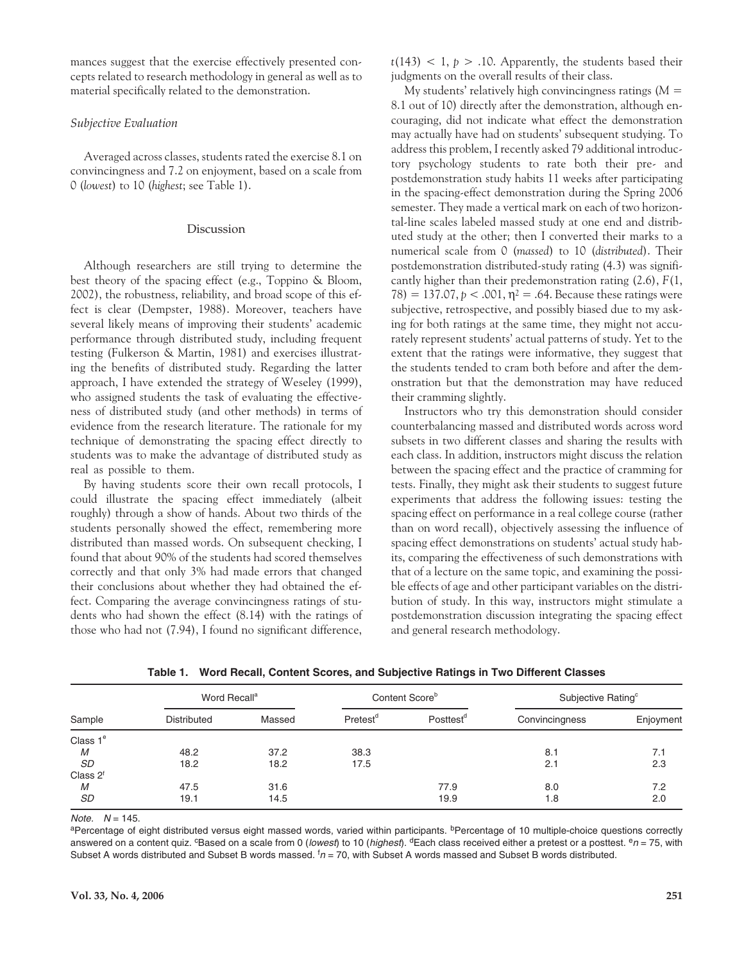mances suggest that the exercise effectively presented concepts related to research methodology in general as well as to material specifically related to the demonstration.

### *Subjective Evaluation*

Averaged across classes, students rated the exercise 8.1 on convincingness and 7.2 on enjoyment, based on a scale from 0 (*lowest*) to 10 (*highest*; see Table 1).

### Discussion

Although researchers are still trying to determine the best theory of the spacing effect (e.g., Toppino & Bloom, 2002), the robustness, reliability, and broad scope of this effect is clear (Dempster, 1988). Moreover, teachers have several likely means of improving their students' academic performance through distributed study, including frequent testing (Fulkerson & Martin, 1981) and exercises illustrating the benefits of distributed study. Regarding the latter approach, I have extended the strategy of Weseley (1999), who assigned students the task of evaluating the effectiveness of distributed study (and other methods) in terms of evidence from the research literature. The rationale for my technique of demonstrating the spacing effect directly to students was to make the advantage of distributed study as real as possible to them.

By having students score their own recall protocols, I could illustrate the spacing effect immediately (albeit roughly) through a show of hands. About two thirds of the students personally showed the effect, remembering more distributed than massed words. On subsequent checking, I found that about 90% of the students had scored themselves correctly and that only 3% had made errors that changed their conclusions about whether they had obtained the effect. Comparing the average convincingness ratings of students who had shown the effect (8.14) with the ratings of those who had not (7.94), I found no significant difference,

 $t(143)$  < 1,  $p > .10$ . Apparently, the students based their judgments on the overall results of their class.

My students' relatively high convincingness ratings (*M* = 8.1 out of 10) directly after the demonstration, although encouraging, did not indicate what effect the demonstration may actually have had on students' subsequent studying. To address this problem, I recently asked 79 additional introductory psychology students to rate both their pre- and postdemonstration study habits 11 weeks after participating in the spacing-effect demonstration during the Spring 2006 semester. They made a vertical mark on each of two horizontal-line scales labeled massed study at one end and distributed study at the other; then I converted their marks to a numerical scale from 0 (*massed*) to 10 (*distributed*). Their postdemonstration distributed-study rating (4.3) was significantly higher than their predemonstration rating (2.6), *F*(1,  $78$ ) = 137.07,  $p < .001$ ,  $\eta^2 = .64$ . Because these ratings were subjective, retrospective, and possibly biased due to my asking for both ratings at the same time, they might not accurately represent students' actual patterns of study. Yet to the extent that the ratings were informative, they suggest that the students tended to cram both before and after the demonstration but that the demonstration may have reduced their cramming slightly.

Instructors who try this demonstration should consider counterbalancing massed and distributed words across word subsets in two different classes and sharing the results with each class. In addition, instructors might discuss the relation between the spacing effect and the practice of cramming for tests. Finally, they might ask their students to suggest future experiments that address the following issues: testing the spacing effect on performance in a real college course (rather than on word recall), objectively assessing the influence of spacing effect demonstrations on students' actual study habits, comparing the effectiveness of such demonstrations with that of a lecture on the same topic, and examining the possible effects of age and other participant variables on the distribution of study. In this way, instructors might stimulate a postdemonstration discussion integrating the spacing effect and general research methodology.

| Sample               | Word Recall <sup>a</sup> |        | Content Score <sup>b</sup> |                       | Subjective Rating <sup>c</sup> |           |
|----------------------|--------------------------|--------|----------------------------|-----------------------|--------------------------------|-----------|
|                      | <b>Distributed</b>       | Massed | Pretest <sup>d</sup>       | Posttest <sup>d</sup> | Convincingness                 | Enjoyment |
| Class $1e$           |                          |        |                            |                       |                                |           |
| М                    | 48.2                     | 37.2   | 38.3                       |                       | 8.1                            | 7.1       |
| SD                   | 18.2                     | 18.2   | 17.5                       |                       | 2.1                            | 2.3       |
| Class 2 <sup>f</sup> |                          |        |                            |                       |                                |           |
| M                    | 47.5                     | 31.6   |                            | 77.9                  | 8.0                            | 7.2       |
| <b>SD</b>            | 19.1                     | 14.5   |                            | 19.9                  | 1.8                            | 2.0       |

**Table 1. Word Recall, Content Scores, and Subjective Ratings in Two Different Classes**

Note.  $N = 145$ .

aPercentage of eight distributed versus eight massed words, varied within participants. **PPercentage of 10 multiple-choice questions correctly** answered on a content quiz. "Based on a scale from 0 (lowest) to 10 (highest).  $d$ Each class received either a pretest or a posttest.  $e_n = 75$ , with Subset A words distributed and Subset B words massed.  $fn = 70$ , with Subset A words massed and Subset B words distributed.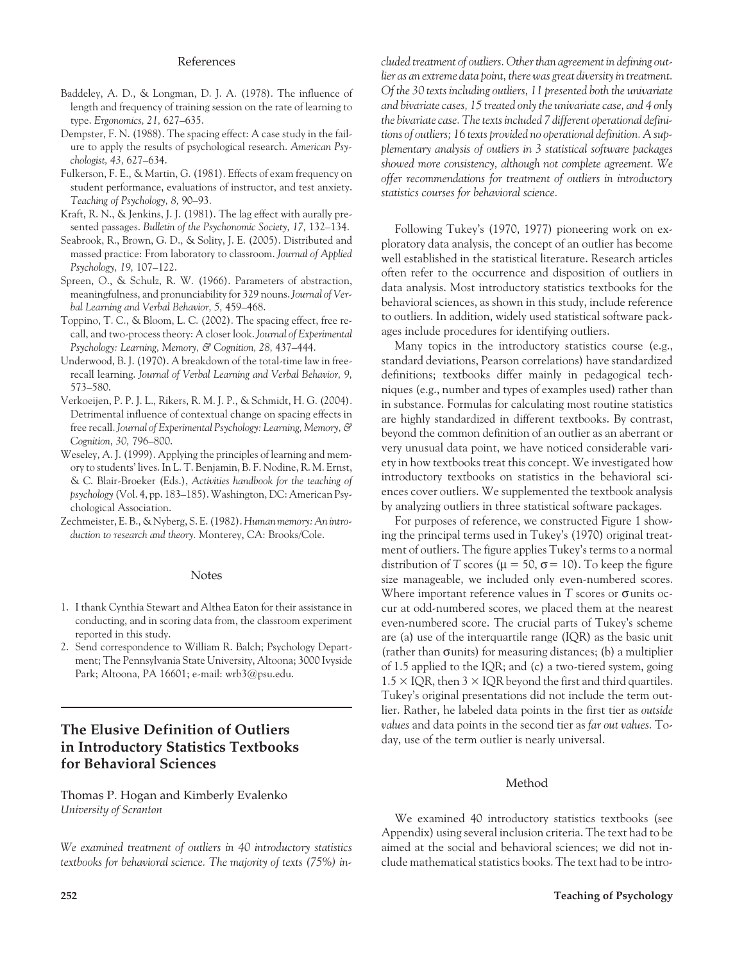# References

- Baddeley, A. D., & Longman, D. J. A. (1978). The influence of length and frequency of training session on the rate of learning to type. *Ergonomics, 21,* 627–635.
- Dempster, F. N. (1988). The spacing effect: A case study in the failure to apply the results of psychological research. *American Psychologist, 43,* 627–634.
- Fulkerson, F. E., & Martin, G. (1981). Effects of exam frequency on student performance, evaluations of instructor, and test anxiety. *Teaching of Psychology, 8,* 90–93.
- Kraft, R. N., & Jenkins, J. J. (1981). The lag effect with aurally presented passages. *Bulletin of the Psychonomic Society, 17,* 132–134.
- Seabrook, R., Brown, G. D., & Solity, J. E. (2005). Distributed and massed practice: From laboratory to classroom. *Journal of Applied Psychology, 19,* 107–122.
- Spreen, O., & Schulz, R. W. (1966). Parameters of abstraction, meaningfulness, and pronunciability for 329 nouns. *Journal of Verbal Learning and Verbal Behavior, 5,* 459–468.
- Toppino, T. C., & Bloom, L. C. (2002). The spacing effect, free recall, and two-process theory: A closer look. *Journal of Experimental Psychology: Learning, Memory, & Cognition, 28,* 437–444.
- Underwood, B. J. (1970). A breakdown of the total-time law in freerecall learning. *Journal of Verbal Learning and Verbal Behavior, 9,* 573–580.
- Verkoeijen, P. P. J. L., Rikers, R. M. J. P., & Schmidt, H. G. (2004). Detrimental influence of contextual change on spacing effects in free recall. *Journal of Experimental Psychology: Learning, Memory, & Cognition, 30,* 796–800.
- Weseley, A. J. (1999). Applying the principles of learning and memory to students' lives. In L. T. Benjamin, B. F. Nodine, R. M. Ernst, & C. Blair-Broeker (Eds.), *Activities handbook for the teaching of psychology* (Vol. 4, pp. 183–185). Washington, DC: American Psychological Association.
- Zechmeister, E. B., & Nyberg, S. E. (1982).*Human memory: An introduction to research and theory.* Monterey, CA: Brooks/Cole.

#### **Notes**

- 1. I thank Cynthia Stewart and Althea Eaton for their assistance in conducting, and in scoring data from, the classroom experiment reported in this study.
- 2. Send correspondence to William R. Balch; Psychology Department; The Pennsylvania State University, Altoona; 3000 Ivyside Park; Altoona, PA 16601; e-mail: wrb3@psu.edu.

# **The Elusive Definition of Outliers in Introductory Statistics Textbooks for Behavioral Sciences**

Thomas P. Hogan and Kimberly Evalenko *University of Scranton*

*We examined treatment of outliers in 40 introductory statistics textbooks for behavioral science. The majority of texts (75%) in-* *cluded treatment of outliers. Other than agreement in defining outlier as an extreme data point, there was great diversity in treatment. Of the 30 texts including outliers, 11 presented both the univariate and bivariate cases, 15 treated only the univariate case, and 4 only the bivariate case. The texts included 7 different operational definitions of outliers; 16 texts provided no operational definition. A supplementary analysis of outliers in 3 statistical software packages showed more consistency, although not complete agreement. We offer recommendations for treatment of outliers in introductory statistics courses for behavioral science.*

Following Tukey's (1970, 1977) pioneering work on exploratory data analysis, the concept of an outlier has become well established in the statistical literature. Research articles often refer to the occurrence and disposition of outliers in data analysis. Most introductory statistics textbooks for the behavioral sciences, as shown in this study, include reference to outliers. In addition, widely used statistical software packages include procedures for identifying outliers.

Many topics in the introductory statistics course (e.g., standard deviations, Pearson correlations) have standardized definitions; textbooks differ mainly in pedagogical techniques (e.g., number and types of examples used) rather than in substance. Formulas for calculating most routine statistics are highly standardized in different textbooks. By contrast, beyond the common definition of an outlier as an aberrant or very unusual data point, we have noticed considerable variety in how textbooks treat this concept. We investigated how introductory textbooks on statistics in the behavioral sciences cover outliers. We supplemented the textbook analysis by analyzing outliers in three statistical software packages.

For purposes of reference, we constructed Figure 1 showing the principal terms used in Tukey's (1970) original treatment of outliers. The figure applies Tukey's terms to a normal distribution of *T* scores ( $\mu = 50$ ,  $\sigma = 10$ ). To keep the figure size manageable, we included only even-numbered scores. Where important reference values in *T* scores or σunits occur at odd-numbered scores, we placed them at the nearest even-numbered score. The crucial parts of Tukey's scheme are (a) use of the interquartile range (IQR) as the basic unit (rather than σunits) for measuring distances; (b) a multiplier of 1.5 applied to the IQR; and (c) a two-tiered system, going  $1.5 \times$  IQR, then  $3 \times$  IQR beyond the first and third quartiles. Tukey's original presentations did not include the term outlier. Rather, he labeled data points in the first tier as *outside values* and data points in the second tier as *far out values.* Today, use of the term outlier is nearly universal.

## Method

We examined 40 introductory statistics textbooks (see Appendix) using several inclusion criteria. The text had to be aimed at the social and behavioral sciences; we did not include mathematical statistics books. The text had to be intro